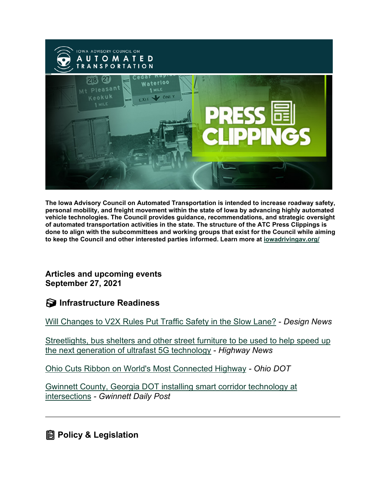

**The Iowa Advisory Council on Automated Transportation is intended to increase roadway safety, personal mobility, and freight movement within the state of Iowa by advancing highly automated vehicle technologies. The Council provides guidance, recommendations, and strategic oversight of automated transportation activities in the state. The structure of the ATC Press Clippings is done to align with the subcommittees and working groups that exist for the Council while aiming to keep the Council and other interested parties informed. Learn more at [iowadrivingav.org/](https://iowadrivingav.org/?utm_medium=email&utm_source=govdelivery)**

**Articles and upcoming events September 27, 2021**

**S** Infrastructure Readiness

[Will Changes to V2X Rules Put Traffic Safety in the Slow Lane?](https://www.designnews.com/automotive-engineering/will-changes-v2x-rules-put-traffic-safety-slow-lane?utm_medium=email&utm_source=govdelivery) - *Design News*

[Streetlights, bus shelters and other street furniture to be used to help speed up](https://highways-news.com/streetlights-bus-shelters-and-other-street-furniture-to-be-used-to-help-speed-up-the-next-generation-of-ultrafast-5g-technology/?utm_medium=email&utm_source=govdelivery)  [the next generation of ultrafast 5G technology](https://highways-news.com/streetlights-bus-shelters-and-other-street-furniture-to-be-used-to-help-speed-up-the-next-generation-of-ultrafast-5g-technology/?utm_medium=email&utm_source=govdelivery) - *Highway News*

[Ohio Cuts Ribbon on World's Most Connected Highway](https://content.govdelivery.com/accounts/OHDOT/bulletins/2f12709) *- Ohio DOT*

[Gwinnett County, Georgia DOT installing smart corridor technology at](https://www.gwinnettdailypost.com/local/gwinnett-county-georgia-dot-installing-smart-corridor-technology-at-intersections/article_44e82af6-155e-11ec-8f39-77c75b87c2fc.html?utm_medium=email&utm_source=govdelivery)  [intersections](https://www.gwinnettdailypost.com/local/gwinnett-county-georgia-dot-installing-smart-corridor-technology-at-intersections/article_44e82af6-155e-11ec-8f39-77c75b87c2fc.html?utm_medium=email&utm_source=govdelivery) *- Gwinnett Daily Post*

**<u></u></u> Policy & Legislation**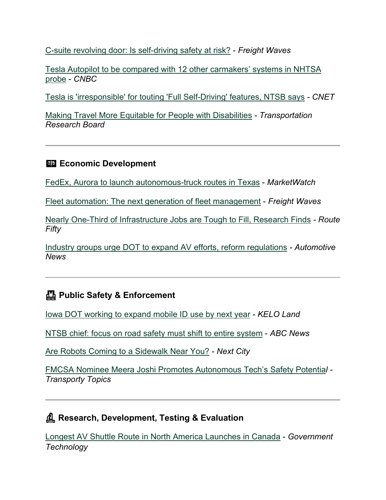[C-suite revolving door: Is self-driving safety at risk?](https://www.freightwaves.com/trucking-trump-officials-autonomous-executives-self-driving-risk?utm_medium=email&utm_source=govdelivery) - *Freight Waves*

[Tesla Autopilot to be compared with 12 other carmakers' systems in NHTSA](https://www.cnbc.com/2021/09/14/tesla-autopilot-to-be-compared-with-12-other-systems-in-nhtsa-probe.html?utm_medium=email&utm_source=govdelivery)  [probe](https://www.cnbc.com/2021/09/14/tesla-autopilot-to-be-compared-with-12-other-systems-in-nhtsa-probe.html?utm_medium=email&utm_source=govdelivery) - *CNBC*

[Tesla is 'irresponsible' for touting 'Full Self-Driving' features, NTSB says](https://www.cnet.com/roadshow/news/tesla-is-irresponsible-for-touting-full-self-driving-features-ntsb-says/?utm_medium=email&utm_source=govdelivery) *- CNET*

[Making Travel More Equitable for People with Disabilities](https://www.nationalacademies.org/trb/blog/making-travel-more-equitable-disabilities?utm_medium=email&utm_source=govdelivery) *- Transportation Research Board*

### **Economic Development**

[FedEx, Aurora to launch autonomous-truck routes in Texas](https://www.marketwatch.com/story/fedex-aurora-to-launch-autonomous-truck-routes-in-texas-11632322936?utm_medium=email&utm_source=govdelivery) - *MarketWatch*

[Fleet automation: The next generation of fleet management](https://www.freightwaves.com/news/fleet-automation-the-next-generation-of-fleet-management?utm_medium=email&utm_source=govdelivery) - *Freight Waves*

[Nearly One-Third of Infrastructure Jobs are Tough to Fill, Research Finds](https://www.route-fifty.com/infrastructure/2021/09/nearly-one-third-infrastructure-jobs-are-tough-fill-research-finds/185514/?utm_medium=email&utm_source=govdelivery) *- Route Fifty*

[Industry groups urge DOT to expand AV efforts, reform regulations](https://www.autonews.com/mobility-report/industry-groups-urge-dot-expand-av-efforts-reform-regulations?utm_medium=email&utm_source=govdelivery) *- Automotive News*

### **Public Safety & Enforcement**

[Iowa DOT working to expand mobile ID use by next year](https://www.keloland.com/top-stories/iowa-dot-working-to-expand-mobile-id-use-by-next-year/?utm_medium=email&utm_source=govdelivery) - *KELO Land*

[NTSB chief: focus on road safety must shift to entire system](https://abcnews.go.com/Business/wireStory/ntsb-chief-focus-road-safety-shift-entire-system-79991202?utm_medium=email&utm_source=govdelivery) - *ABC News*

[Are Robots Coming to a Sidewalk Near You?](https://nextcity.org/daily/entry/are-sidewalk-robots-coming-to-a-sidewalk-near-you?utm_medium=email&utm_source=govdelivery) *- Next City*

[FMCSA Nominee Meera Joshi Promotes Autonomous Tech's Safety Potentia](https://www.ttnews.com/articles/fmcsa-nominee-meera-joshi-promotes-autonomous-techs-safety-potential?utm_medium=email&utm_source=govdelivery)*l - Transporty Topics*

## **Research, Development, Testing & Evaluation**

[Longest AV Shuttle Route in North America Launches in Canada](https://www.govtech.com/fs/longest-av-shuttle-route-in-north-america-launches-in-canada?utm_medium=email&utm_source=govdelivery) - *Government Technology*